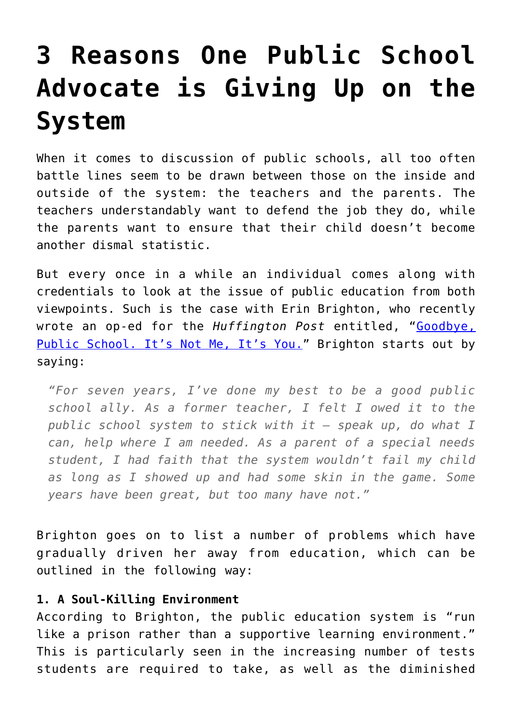## **[3 Reasons One Public School](https://intellectualtakeout.org/2017/05/3-reasons-one-public-school-advocate-is-giving-up-on-the-system/) [Advocate is Giving Up on the](https://intellectualtakeout.org/2017/05/3-reasons-one-public-school-advocate-is-giving-up-on-the-system/) [System](https://intellectualtakeout.org/2017/05/3-reasons-one-public-school-advocate-is-giving-up-on-the-system/)**

When it comes to discussion of public schools, all too often battle lines seem to be drawn between those on the inside and outside of the system: the teachers and the parents. The teachers understandably want to defend the job they do, while the parents want to ensure that their child doesn't become another dismal statistic.

But every once in a while an individual comes along with credentials to look at the issue of public education from both viewpoints. Such is the case with Erin Brighton, who recently wrote an op-ed for the *Huffington Post* entitled, "[Goodbye,](http://www.huffingtonpost.com/entry/goodbye-public-school-its-not-me-its-you_us_5900e7bce4b00acb75f18414) [Public School. It's Not Me, It's You.](http://www.huffingtonpost.com/entry/goodbye-public-school-its-not-me-its-you_us_5900e7bce4b00acb75f18414)" Brighton starts out by saying:

*"For seven years, I've done my best to be a good public school ally. As a former teacher, I felt I owed it to the public school system to stick with it – speak up, do what I can, help where I am needed. As a parent of a special needs student, I had faith that the system wouldn't fail my child as long as I showed up and had some skin in the game. Some years have been great, but too many have not."* 

Brighton goes on to list a number of problems which have gradually driven her away from education, which can be outlined in the following way:

## **1. A Soul-Killing Environment**

According to Brighton, the public education system is "run like a prison rather than a supportive learning environment." This is particularly seen in the increasing number of tests students are required to take, as well as the diminished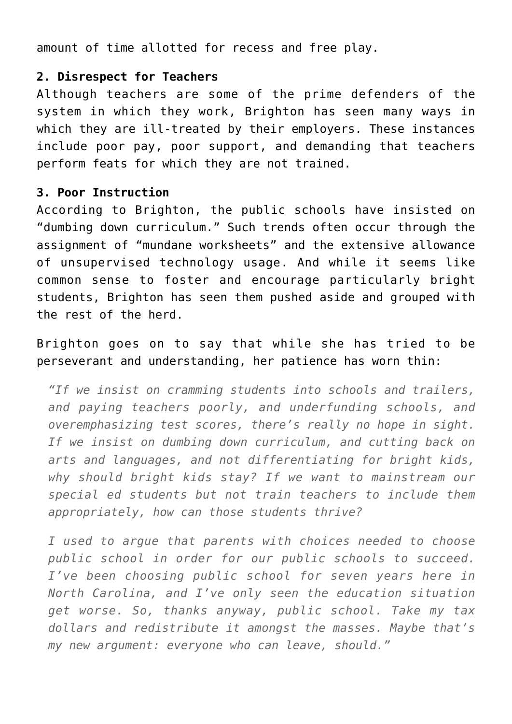amount of time allotted for recess and free play.

## **2. Disrespect for Teachers**

Although teachers are some of the prime defenders of the system in which they work, Brighton has seen many ways in which they are ill-treated by their employers. These instances include poor pay, poor support, and demanding that teachers perform feats for which they are not trained.

## **3. Poor Instruction**

According to Brighton, the public schools have insisted on "dumbing down curriculum." Such trends often occur through the assignment of "mundane worksheets" and the extensive allowance of unsupervised technology usage. And while it seems like common sense to foster and encourage particularly bright students, Brighton has seen them pushed aside and grouped with the rest of the herd.

Brighton goes on to say that while she has tried to be perseverant and understanding, her patience has worn thin:

*"If we insist on cramming students into schools and trailers, and paying teachers poorly, and underfunding schools, and overemphasizing test scores, there's really no hope in sight. If we insist on dumbing down curriculum, and cutting back on arts and languages, and not differentiating for bright kids, why should bright kids stay? If we want to mainstream our special ed students but not train teachers to include them appropriately, how can those students thrive?*

*I used to argue that parents with choices needed to choose public school in order for our public schools to succeed. I've been choosing public school for seven years here in North Carolina, and I've only seen the education situation get worse. So, thanks anyway, public school. Take my tax dollars and redistribute it amongst the masses. Maybe that's my new argument: everyone who can leave, should."*